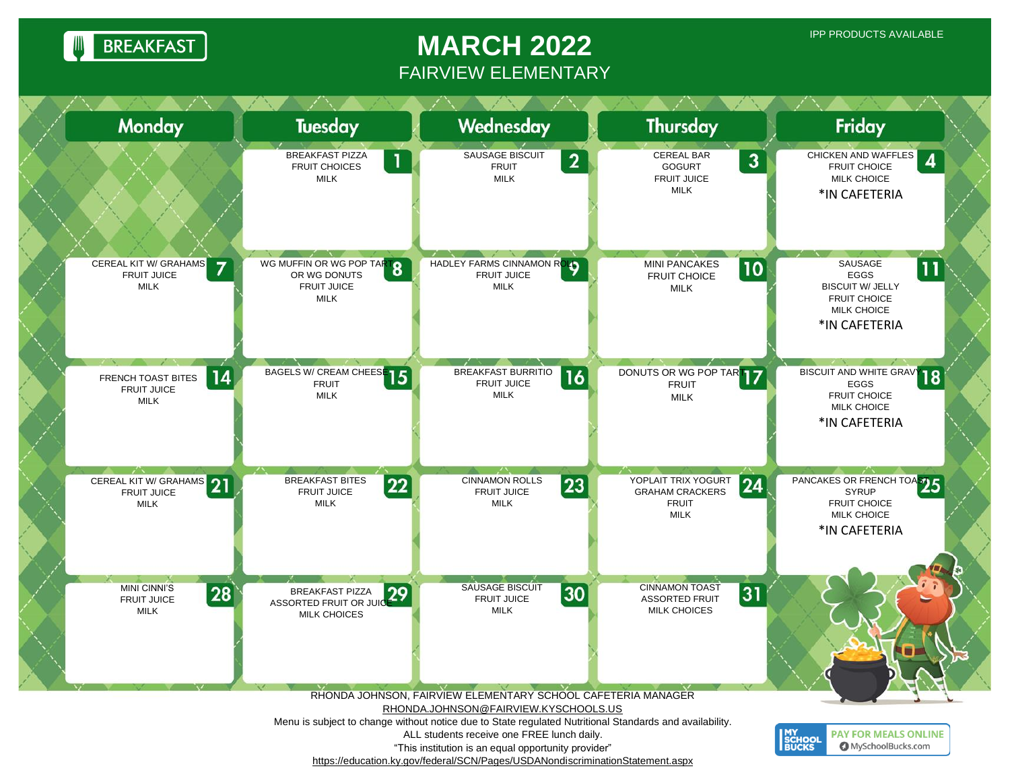**BREAKFAST** 

## **MARCH 2022** FAIRVIEW ELEMENTARY

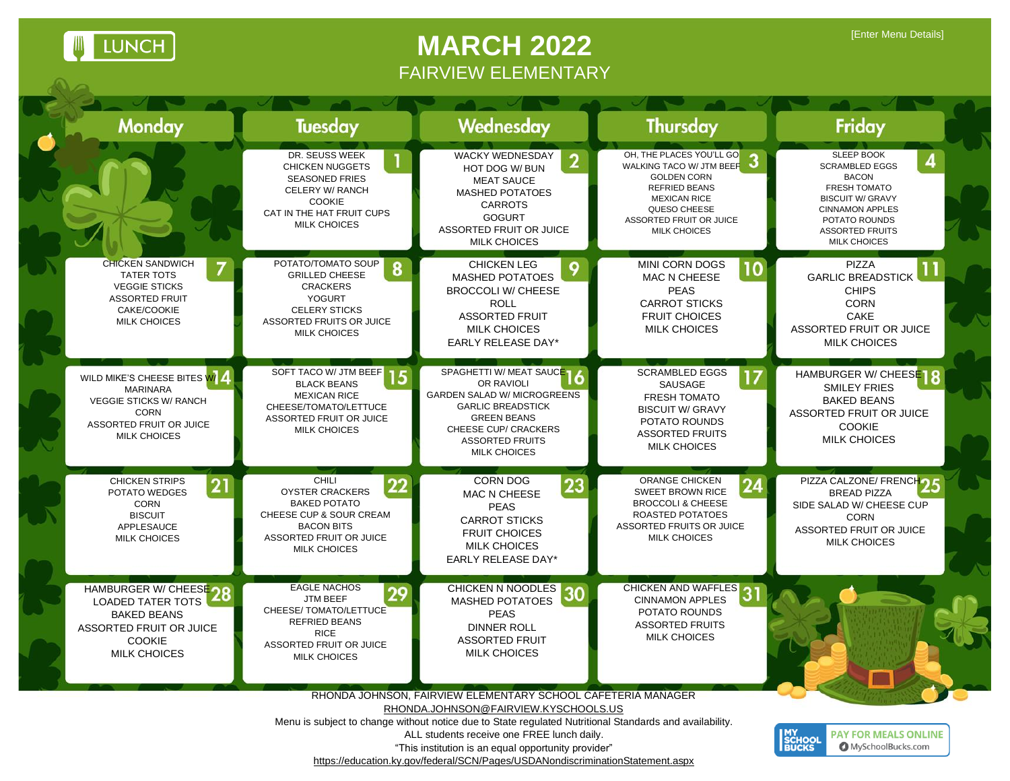U LUNCH

 $\mathcal{D}_{\mathcal{A}}$ 

## **MARCH 2022** FAIRVIEW ELEMENTARY

| <b>Monday</b>                                                                                                                                           | <b>Tuesday</b>                                                                                                                                                         | Wednesday                                                                                                                                                                                                                                                                                                                                                                                              | <b>Thursday</b>                                                                                                                                                                             | Friday                                                                                                                                                                                            |
|---------------------------------------------------------------------------------------------------------------------------------------------------------|------------------------------------------------------------------------------------------------------------------------------------------------------------------------|--------------------------------------------------------------------------------------------------------------------------------------------------------------------------------------------------------------------------------------------------------------------------------------------------------------------------------------------------------------------------------------------------------|---------------------------------------------------------------------------------------------------------------------------------------------------------------------------------------------|---------------------------------------------------------------------------------------------------------------------------------------------------------------------------------------------------|
|                                                                                                                                                         | DR. SEUSS WEEK<br><b>CHICKEN NUGGETS</b><br><b>SEASONED FRIES</b><br>CELERY W/ RANCH<br><b>COOKIE</b><br>CAT IN THE HAT FRUIT CUPS<br><b>MILK CHOICES</b>              | WACKY WEDNESDAY<br>2<br>HOT DOG W/ BUN<br><b>MEAT SAUCE</b><br><b>MASHED POTATOES</b><br><b>CARROTS</b><br><b>GOGURT</b><br>ASSORTED FRUIT OR JUICE<br><b>MILK CHOICES</b>                                                                                                                                                                                                                             | OH, THE PLACES YOU'LL GO<br>WALKING TACO W/ JTM BEEF<br><b>GOLDEN CORN</b><br><b>REFRIED BEANS</b><br><b>MEXICAN RICE</b><br>QUESO CHEESE<br>ASSORTED FRUIT OR JUICE<br><b>MILK CHOICES</b> | <b>SLEEP BOOK</b><br><b>SCRAMBLED EGGS</b><br><b>BACON</b><br>FRESH TOMATO<br><b>BISCUIT W/ GRAVY</b><br><b>CINNAMON APPLES</b><br>POTATO ROUNDS<br><b>ASSORTED FRUITS</b><br><b>MILK CHOICES</b> |
| <b>CHICKEN SANDWICH</b><br><b>TATER TOTS</b><br><b>VEGGIE STICKS</b><br><b>ASSORTED FRUIT</b><br>CAKE/COOKIE<br><b>MILK CHOICES</b>                     | POTATO/TOMATO SOUP<br>8<br><b>GRILLED CHEESE</b><br><b>CRACKERS</b><br><b>YOGURT</b><br><b>CELERY STICKS</b><br><b>ASSORTED FRUITS OR JUICE</b><br><b>MILK CHOICES</b> | <b>CHICKEN LEG</b><br>9<br><b>MASHED POTATOES</b><br><b>BROCCOLI W/ CHEESE</b><br><b>ROLL</b><br><b>ASSORTED FRUIT</b><br><b>MILK CHOICES</b><br><b>EARLY RELEASE DAY*</b>                                                                                                                                                                                                                             | MINI CORN DOGS<br>10<br>MAC N CHEESE<br><b>PEAS</b><br><b>CARROT STICKS</b><br><b>FRUIT CHOICES</b><br><b>MILK CHOICES</b>                                                                  | <b>PIZZA</b><br><b>GARLIC BREADSTICK</b><br><b>CHIPS</b><br><b>CORN</b><br>CAKE<br>ASSORTED FRUIT OR JUICE<br><b>MILK CHOICES</b>                                                                 |
| WILD MIKE'S CHEESE BITES W/<br><b>MARINARA</b><br><b>VEGGIE STICKS W/ RANCH</b><br><b>CORN</b><br><b>ASSORTED FRUIT OR JUICE</b><br><b>MILK CHOICES</b> | SOFT TACO W/ JTM BEEF 15<br><b>BLACK BEANS</b><br><b>MEXICAN RICE</b><br>CHEESE/TOMATO/LETTUCE<br>ASSORTED FRUIT OR JUICE<br><b>MILK CHOICES</b>                       | SPAGHETTI W/ MEAT SAUCE 16<br>OR RAVIOLI<br><b>GARDEN SALAD W/ MICROGREENS</b><br><b>GARLIC BREADSTICK</b><br><b>GREEN BEANS</b><br>CHEESE CUP/ CRACKERS<br><b>ASSORTED FRUITS</b><br><b>MILK CHOICES</b>                                                                                                                                                                                              | <b>SCRAMBLED EGGS</b><br>17<br>SAUSAGE<br><b>FRESH TOMATO</b><br><b>BISCUIT W/ GRAVY</b><br>POTATO ROUNDS<br><b>ASSORTED FRUITS</b><br><b>MILK CHOICES</b>                                  | HAMBURGER W/ CHEESE<br><b>SMILEY FRIES</b><br><b>BAKED BEANS</b><br><b>ASSORTED FRUIT OR JUICE</b><br><b>COOKIE</b><br><b>MILK CHOICES</b>                                                        |
| <b>CHICKEN STRIPS</b><br>21<br>POTATO WEDGES<br><b>CORN</b><br><b>BISCUIT</b><br>APPLESAUCE<br><b>MILK CHOICES</b>                                      | <b>CHILI</b><br>22<br><b>OYSTER CRACKERS</b><br><b>BAKED POTATO</b><br>CHEESE CUP & SOUR CREAM<br><b>BACON BITS</b><br>ASSORTED FRUIT OR JUICE<br><b>MILK CHOICES</b>  | CORN DOG<br>23<br><b>MAC N CHEESE</b><br><b>PEAS</b><br><b>CARROT STICKS</b><br><b>FRUIT CHOICES</b><br><b>MILK CHOICES</b><br><b>EARLY RELEASE DAY*</b>                                                                                                                                                                                                                                               | ORANGE CHICKEN<br><b>SWEET BROWN RICE</b><br><b>BROCCOLI &amp; CHEESE</b><br>ROASTED POTATOES<br>ASSORTED FRUITS OR JUICE<br><b>MILK CHOICES</b>                                            | PIZZA CALZONE/ FRENCHOL<br><b>BREAD PIZZA</b><br>SIDE SALAD W/ CHEESE CUP<br><b>CORN</b><br><b>ASSORTED FRUIT OR JUICE</b><br><b>MILK CHOICES</b>                                                 |
| HAMBURGER W/ CHEESE 20<br><b>LOADED TATER TOTS</b><br><b>BAKED BEANS</b><br>ASSORTED FRUIT OR JUICE<br><b>COOKIE</b><br><b>MILK CHOICES</b>             | <b>EAGLE NACHOS</b><br>29<br><b>JTM BEEF</b><br>CHEESE/ TOMATO/LETTUCE<br><b>REFRIED BEANS</b><br><b>RICE</b><br><b>ASSORTED FRUIT OR JUICE</b><br><b>MILK CHOICES</b> | CHICKEN N NOODLES 30<br>MASHED POTATOES<br><b>PEAS</b><br><b>DINNER ROLL</b><br><b>ASSORTED FRUIT</b><br><b>MILK CHOICES</b>                                                                                                                                                                                                                                                                           | CHICKEN AND WAFFLES<br><b>CINNAMON APPLES</b><br>POTATO ROUNDS<br><b>ASSORTED FRUITS</b><br><b>MILK CHOICES</b>                                                                             |                                                                                                                                                                                                   |
|                                                                                                                                                         |                                                                                                                                                                        | RHONDA JOHNSON, FAIRVIEW ELEMENTARY SCHOOL CAFETERIA MANAGER<br>RHONDA.JOHNSON@FAIRVIEW.KYSCHOOLS.US<br>Menu is subject to change without notice due to State regulated Nutritional Standards and availability.<br>ALL students receive one FREE lunch daily.<br>"This institution is an equal opportunity provider"<br>https://education.ky.gov/federal/SCN/Pages/USDANondiscriminationStatement.aspx |                                                                                                                                                                                             | <b>MY<br/>SCHOOL<br/>BUCKS</b><br><b>PAY FOR MEALS ONLINE</b><br><b>O</b> MySchoolBucks.com                                                                                                       |